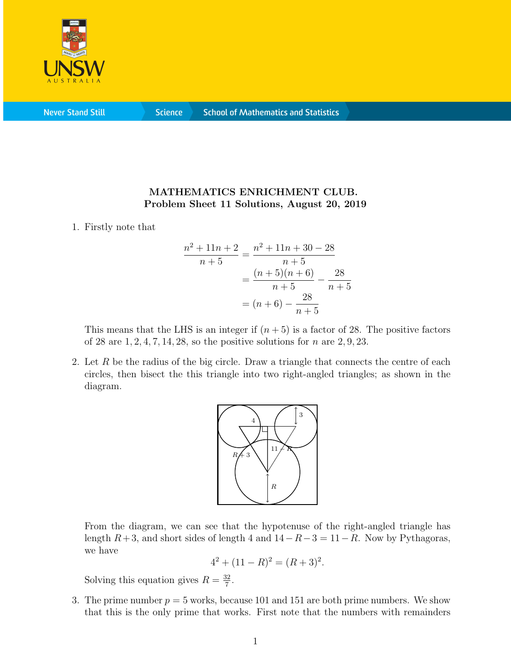

**Never Stand Still** 

**Science** 

## MATHEMATICS ENRICHMENT CLUB. Problem Sheet 11 Solutions, August 20, 2019

1. Firstly note that

$$
\frac{n^2 + 11n + 2}{n + 5} = \frac{n^2 + 11n + 30 - 28}{n + 5}
$$

$$
= \frac{(n + 5)(n + 6)}{n + 5} - \frac{28}{n + 5}
$$

$$
= (n + 6) - \frac{28}{n + 5}
$$

This means that the LHS is an integer if  $(n+5)$  is a factor of 28. The positive factors of 28 are  $1, 2, 4, 7, 14, 28$ , so the positive solutions for n are  $2, 9, 23$ .

2. Let  $R$  be the radius of the big circle. Draw a triangle that connects the centre of each circles, then bisect the this triangle into two right-angled triangles; as shown in the diagram.



From the diagram, we can see that the hypotenuse of the right-angled triangle has length  $R+3$ , and short sides of length 4 and  $14-R-3=11-R$ . Now by Pythagoras, we have

$$
4^2 + (11 - R)^2 = (R + 3)^2.
$$

Solving this equation gives  $R = \frac{32}{7}$  $\frac{32}{7}$ .

3. The prime number  $p = 5$  works, because 101 and 151 are both prime numbers. We show that this is the only prime that works. First note that the numbers with remainders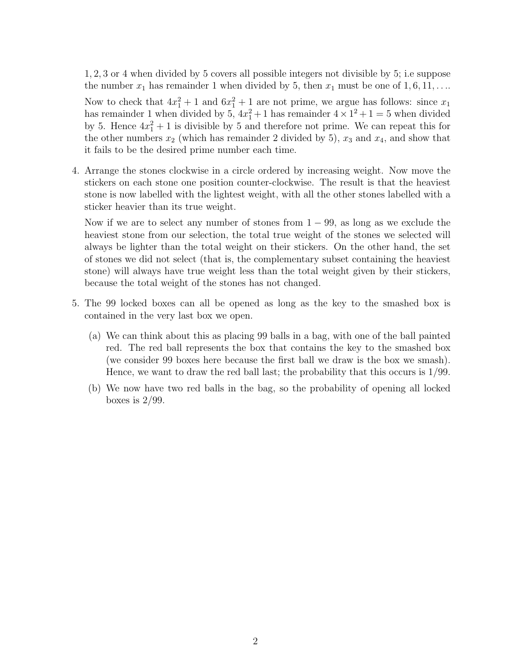1, 2, 3 or 4 when divided by 5 covers all possible integers not divisible by 5; i.e suppose the number  $x_1$  has remainder 1 when divided by 5, then  $x_1$  must be one of  $1, 6, 11, \ldots$ 

Now to check that  $4x_1^2 + 1$  and  $6x_1^2 + 1$  are not prime, we argue has follows: since  $x_1$ has remainder 1 when divided by  $5, 4x_1^2 + 1$  has remainder  $4 \times 1^2 + 1 = 5$  when divided by 5. Hence  $4x_1^2 + 1$  is divisible by 5 and therefore not prime. We can repeat this for the other numbers  $x_2$  (which has remainder 2 divided by 5),  $x_3$  and  $x_4$ , and show that it fails to be the desired prime number each time.

4. Arrange the stones clockwise in a circle ordered by increasing weight. Now move the stickers on each stone one position counter-clockwise. The result is that the heaviest stone is now labelled with the lightest weight, with all the other stones labelled with a sticker heavier than its true weight.

Now if we are to select any number of stones from  $1 - 99$ , as long as we exclude the heaviest stone from our selection, the total true weight of the stones we selected will always be lighter than the total weight on their stickers. On the other hand, the set of stones we did not select (that is, the complementary subset containing the heaviest stone) will always have true weight less than the total weight given by their stickers, because the total weight of the stones has not changed.

- 5. The 99 locked boxes can all be opened as long as the key to the smashed box is contained in the very last box we open.
	- (a) We can think about this as placing 99 balls in a bag, with one of the ball painted red. The red ball represents the box that contains the key to the smashed box (we consider 99 boxes here because the first ball we draw is the box we smash). Hence, we want to draw the red ball last; the probability that this occurs is 1/99.
	- (b) We now have two red balls in the bag, so the probability of opening all locked boxes is  $2/99$ .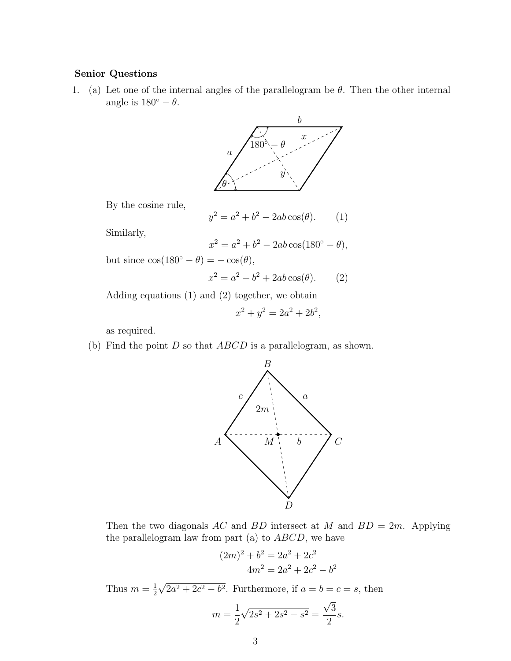## Senior Questions

1. (a) Let one of the internal angles of the parallelogram be  $\theta$ . Then the other internal angle is  $180^\circ - \theta$ .



By the cosine rule,

$$
y^2 = a^2 + b^2 - 2ab\cos(\theta). \qquad (1)
$$

Similarly,

$$
x^2 = a^2 + b^2 - 2ab\cos(180^\circ - \theta),
$$

but since  $\cos(180^\circ - \theta) = -\cos(\theta)$ ,

$$
x^2 = a^2 + b^2 + 2ab\cos(\theta). \qquad (2)
$$

Adding equations (1) and (2) together, we obtain

$$
x^2 + y^2 = 2a^2 + 2b^2,
$$

as required.

(b) Find the point  $D$  so that  $ABCD$  is a parallelogram, as shown.



Then the two diagonals AC and BD intersect at M and  $BD = 2m$ . Applying the parallelogram law from part (a) to  $ABCD$ , we have

$$
(2m)2 + b2 = 2a2 + 2c2
$$
  
4m<sup>2</sup> = 2a<sup>2</sup> + 2c<sup>2</sup> - b<sup>2</sup>

Thus  $m=\frac{1}{2}$ 2 √  $2a^2 + 2c^2 - b^2$ . Furthermore, if  $a = b = c = s$ , then √

$$
m = \frac{1}{2}\sqrt{2s^2 + 2s^2 - s^2} = \frac{\sqrt{3}}{2}s.
$$